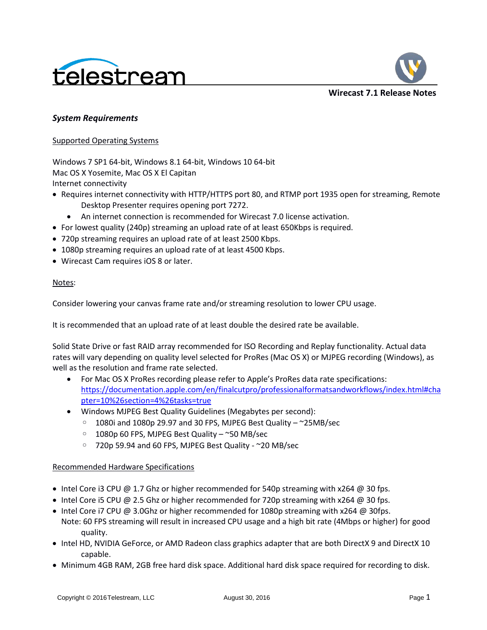



# *System Requirements*

## Supported Operating Systems

Windows 7 SP1 64-bit, Windows 8.1 64-bit, Windows 10 64-bit Mac OS X Yosemite, Mac OS X El Capitan Internet connectivity

- Requires internet connectivity with HTTP/HTTPS port 80, and RTMP port 1935 open for streaming, Remote Desktop Presenter requires opening port 7272.
	- An internet connection is recommended for Wirecast 7.0 license activation.
- For lowest quality (240p) streaming an upload rate of at least 650Kbps is required.
- 720p streaming requires an upload rate of at least 2500 Kbps.
- 1080p streaming requires an upload rate of at least 4500 Kbps.
- Wirecast Cam requires iOS 8 or later.

## Notes:

Consider lowering your canvas frame rate and/or streaming resolution to lower CPU usage.

It is recommended that an upload rate of at least double the desired rate be available.

Solid State Drive or fast RAID array recommended for ISO Recording and Replay functionality. Actual data rates will vary depending on quality level selected for ProRes (Mac OS X) or MJPEG recording (Windows), as well as the resolution and frame rate selected.

- For Mac OS X ProRes recording please refer to Apple's ProRes data rate specifications: [https://documentation.apple.com/en/finalcutpro/professionalformatsandworkflows/index.html#cha](https://documentation.apple.com/en/finalcutpro/professionalformatsandworkflows/index.html#chapter=10%26section=4%26tasks=true) [pter=10%26section=4%26tasks=true](https://documentation.apple.com/en/finalcutpro/professionalformatsandworkflows/index.html#chapter=10%26section=4%26tasks=true)
- Windows MJPEG Best Quality Guidelines (Megabytes per second):
	- 1080i and 1080p 29.97 and 30 FPS, MJPEG Best Quality ~25MB/sec
	- 1080p 60 FPS, MJPEG Best Quality ~50 MB/sec
	- 720p 59.94 and 60 FPS, MJPEG Best Quality ~20 MB/sec

# Recommended Hardware Specifications

- Intel Core i3 CPU @ 1.7 Ghz or higher recommended for 540p streaming with  $x264$  @ 30 fps.
- Intel Core i5 CPU @ 2.5 Ghz or higher recommended for 720p streaming with  $x264$  @ 30 fps.
- Intel Core i7 CPU @ 3.0Ghz or higher recommended for 1080p streaming with x264 @ 30fps. Note: 60 FPS streaming will result in increased CPU usage and a high bit rate (4Mbps or higher) for good quality.
- Intel HD, NVIDIA GeForce, or AMD Radeon class graphics adapter that are both DirectX 9 and DirectX 10 capable.
- Minimum 4GB RAM, 2GB free hard disk space. Additional hard disk space required for recording to disk.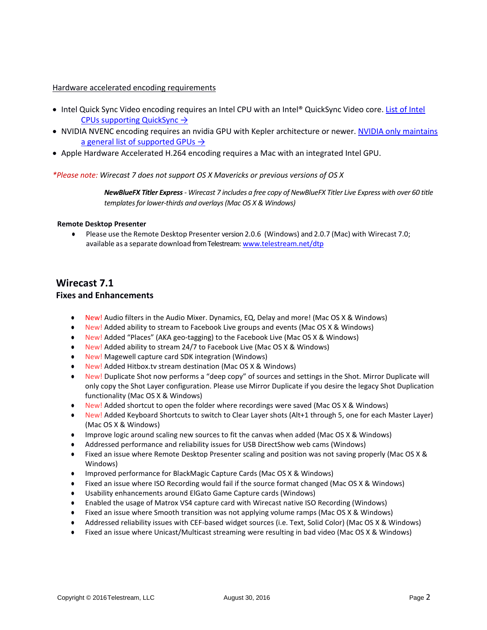### Hardware accelerated encoding requirements

- Intel Quick Sync Video encoding requires an Intel CPU with an Intel® QuickSync Video core. List of Intel [CPUs supporting QuickSync](http://ark.intel.com/search/advanced?QuickSyncVideo=true&MarketSegment=DT) →
- NVIDIA NVENC encoding requires an nvidia GPU with Kepler architecture or newer. NVIDIA only maintains [a general list of supported GPUs](https://developer.nvidia.com/nvidia-video-codec-sdk#gpulist)  $\rightarrow$
- Apple Hardware Accelerated H.264 encoding requires a Mac with an integrated Intel GPU.

## *\*Please note: Wirecast 7 does not support OS X Mavericks or previous versions of OS X*

*NewBlueFX Titler Express- Wirecast 7 includes a free copy of NewBlueFX Titler Live Express with over 60 title templates for lower-thirds and overlays (Mac OS X & Windows)*

#### **Remote Desktop Presenter**

● Please use the Remote Desktop Presenter version 2.0.6 (Windows) and 2.0.7 (Mac) with Wirecast 7.0; available as a separate download from Telestream: www.telestream.net/dtp

# **Wirecast 7.1**

# **Fixes and Enhancements**

- New! Audio filters in the Audio Mixer. Dynamics, EQ, Delay and more! (Mac OS X & Windows)
- New! Added ability to stream to Facebook Live groups and events (Mac OS X & Windows)
- New! Added "Places" (AKA geo-tagging) to the Facebook Live (Mac OS X & Windows)
- New! Added ability to stream 24/7 to Facebook Live (Mac OS X & Windows)
- New! Magewell capture card SDK integration (Windows)
- New! Added Hitbox.tv stream destination (Mac OS X & Windows)
- New! Duplicate Shot now performs a "deep copy" of sources and settings in the Shot. Mirror Duplicate will only copy the Shot Layer configuration. Please use Mirror Duplicate if you desire the legacy Shot Duplication functionality (Mac OS X & Windows)
- New! Added shortcut to open the folder where recordings were saved (Mac OS X & Windows)
- New! Added Keyboard Shortcuts to switch to Clear Layer shots (Alt+1 through 5, one for each Master Layer) (Mac OS X & Windows)
- Improve logic around scaling new sources to fit the canvas when added (Mac OS X & Windows)
- Addressed performance and reliability issues for USB DirectShow web cams (Windows)
- Fixed an issue where Remote Desktop Presenter scaling and position was not saving properly (Mac OS X & Windows)
- Improved performance for BlackMagic Capture Cards (Mac OS X & Windows)
- Fixed an issue where ISO Recording would fail if the source format changed (Mac OS X & Windows)
- Usability enhancements around ElGato Game Capture cards (Windows)
- Enabled the usage of Matrox VS4 capture card with Wirecast native ISO Recording (Windows)
- Fixed an issue where Smooth transition was not applying volume ramps (Mac OS X & Windows)
- Addressed reliability issues with CEF-based widget sources (i.e. Text, Solid Color) (Mac OS X & Windows)
- Fixed an issue where Unicast/Multicast streaming were resulting in bad video (Mac OS X & Windows)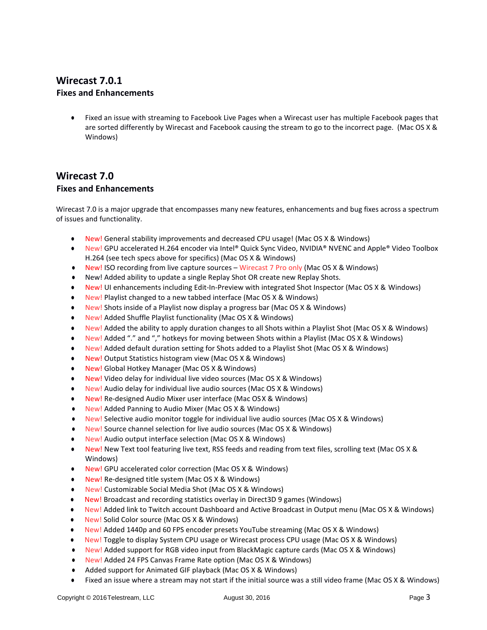# **Wirecast 7.0.1 Fixes and Enhancements**

Fixed an issue with streaming to Facebook Live Pages when a Wirecast user has multiple Facebook pages that are sorted differently by Wirecast and Facebook causing the stream to go to the incorrect page. (Mac OS X & Windows)

# **Wirecast 7.0 Fixes and Enhancements**

Wirecast 7.0 is a major upgrade that encompasses many new features, enhancements and bug fixes across a spectrum of issues and functionality.

- New! General stability improvements and decreased CPU usage! (Mac OS X & Windows)
- New! GPU accelerated H.264 encoder via Intel® Quick Sync Video, NVIDIA® NVENC and Apple® Video Toolbox H.264 (see tech specs above for specifics) (Mac OS X & Windows)
- New! ISO recording from live capture sources Wirecast 7 Pro only (Mac OS X & Windows)
- New! Added ability to update a single Replay Shot OR create new Replay Shots.
- New! UI enhancements including Edit-In-Preview with integrated Shot Inspector (Mac OS X & Windows)
- New! Playlist changed to a new tabbed interface (Mac OS X & Windows)
- New! Shots inside of a Playlist now display a progress bar (Mac OS X & Windows)
- New! Added Shuffle Playlist functionality (Mac OS X & Windows)
- New! Added the ability to apply duration changes to all Shots within a Playlist Shot (Mac OS X & Windows)
- New! Added "." and "," hotkeys for moving between Shots within a Playlist (Mac OS X & Windows)
- New! Added default duration setting for Shots added to a Playlist Shot (Mac OS X & Windows)
- New! Output Statistics histogram view (Mac OS X & Windows)
- New! Global Hotkey Manager (Mac OS X & Windows)
- New! Video delay for individual live video sources (Mac OS X & Windows)
- New! Audio delay for individual live audio sources (Mac OS X & Windows)
- New! Re-designed Audio Mixer user interface (Mac OSX & Windows)
- New! Added Panning to Audio Mixer (Mac OS X & Windows)
- New! Selective audio monitor toggle for individual live audio sources (Mac OS X & Windows)
- New! Source channel selection for live audio sources (Mac OS X & Windows)
- New! Audio output interface selection (Mac OS X & Windows)
- New! New Text tool featuring live text, RSS feeds and reading from text files, scrolling text (Mac OS X & Windows)
- New! GPU accelerated color correction (Mac OS X & Windows)
- New! Re-designed title system (Mac OS X & Windows)
- **New! Customizable Social Media Shot (Mac OS X & Windows)**
- New! Broadcast and recording statistics overlay in Direct3D 9 games (Windows)
- New! Added link to Twitch account Dashboard and Active Broadcast in Output menu (Mac OS X & Windows)
- New! Solid Color source (Mac OS X & Windows)
- New! Added 1440p and 60 FPS encoder presets YouTube streaming (Mac OS X & Windows)
- New! Toggle to display System CPU usage or Wirecast process CPU usage (Mac OS X & Windows)
- New! Added support for RGB video input from BlackMagic capture cards (Mac OS X & Windows)
- New! Added 24 FPS Canvas Frame Rate option (Mac OS X & Windows)
- Added support for Animated GIF playback (Mac OS X & Windows)
- Fixed an issue where a stream may not start if the initial source was a still video frame (Mac OS X & Windows)